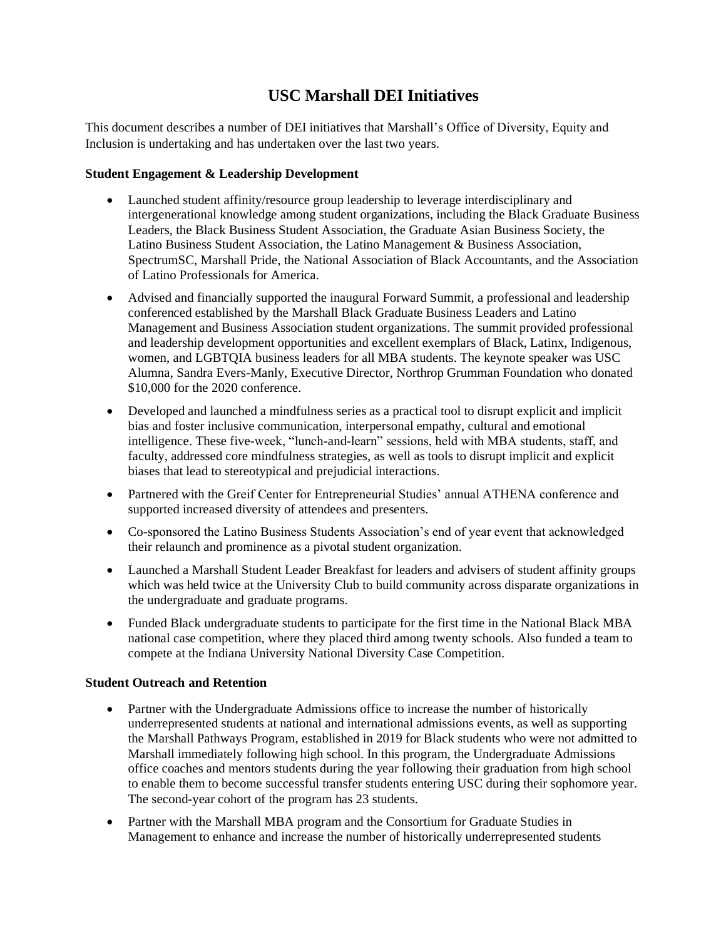# **USC Marshall DEI Initiatives**

This document describes a number of DEI initiatives that Marshall's Office of Diversity, Equity and Inclusion is undertaking and has undertaken over the last two years.

# **Student Engagement & Leadership Development**

- Launched student affinity/resource group leadership to leverage interdisciplinary and intergenerational knowledge among student organizations, including the Black Graduate Business Leaders, the Black Business Student Association, the Graduate Asian Business Society, the Latino Business Student Association, the Latino Management & Business Association, SpectrumSC, Marshall Pride, the National Association of Black Accountants, and the Association of Latino Professionals for America.
- Advised and financially supported the inaugural Forward Summit, a professional and leadership conferenced established by the Marshall Black Graduate Business Leaders and Latino Management and Business Association student organizations. The summit provided professional and leadership development opportunities and excellent exemplars of Black, Latinx, Indigenous, women, and LGBTQIA business leaders for all MBA students. The keynote speaker was USC Alumna, Sandra Evers-Manly, Executive Director, Northrop Grumman Foundation who donated \$10,000 for the 2020 conference.
- Developed and launched a mindfulness series as a practical tool to disrupt explicit and implicit bias and foster inclusive communication, interpersonal empathy, cultural and emotional intelligence. These five-week, "lunch-and-learn" sessions, held with MBA students, staff, and faculty, addressed core mindfulness strategies, as well as tools to disrupt implicit and explicit biases that lead to stereotypical and prejudicial interactions.
- Partnered with the Greif Center for Entrepreneurial Studies' annual ATHENA conference and supported increased diversity of attendees and presenters.
- Co-sponsored the Latino Business Students Association's end of year event that acknowledged their relaunch and prominence as a pivotal student organization.
- Launched a Marshall Student Leader Breakfast for leaders and advisers of student affinity groups which was held twice at the University Club to build community across disparate organizations in the undergraduate and graduate programs.
- Funded Black undergraduate students to participate for the first time in the National Black MBA national case competition, where they placed third among twenty schools. Also funded a team to compete at the Indiana University National Diversity Case Competition.

# **Student Outreach and Retention**

- Partner with the Undergraduate Admissions office to increase the number of historically underrepresented students at national and international admissions events, as well as supporting the Marshall Pathways Program, established in 2019 for Black students who were not admitted to Marshall immediately following high school. In this program, the Undergraduate Admissions office coaches and mentors students during the year following their graduation from high school to enable them to become successful transfer students entering USC during their sophomore year. The second-year cohort of the program has 23 students.
- Partner with the Marshall MBA program and the Consortium for Graduate Studies in Management to enhance and increase the number of historically underrepresented students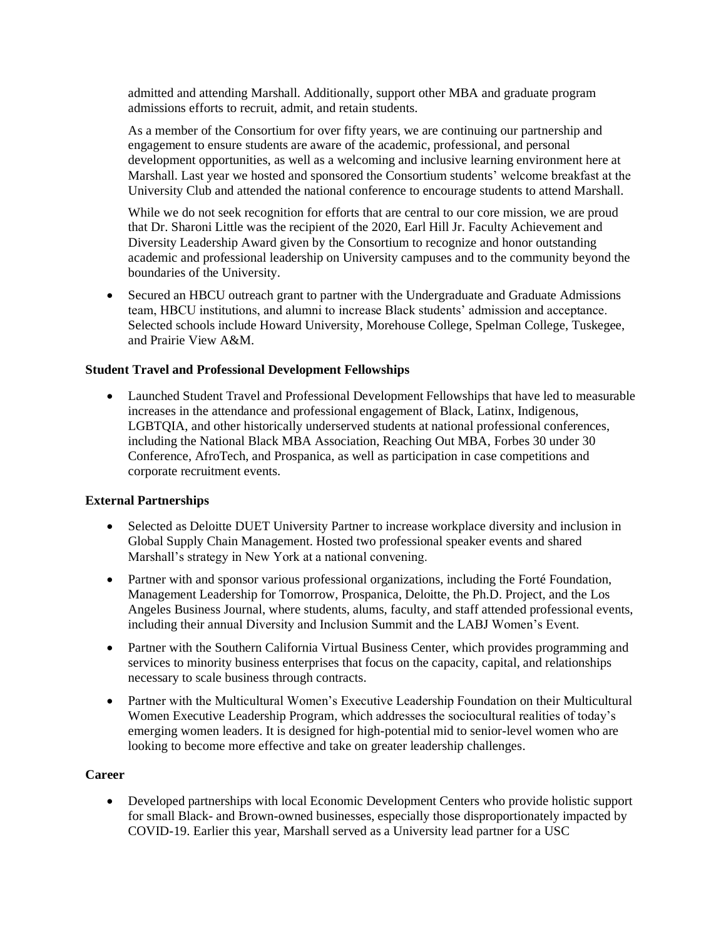admitted and attending Marshall. Additionally, support other MBA and graduate program admissions efforts to recruit, admit, and retain students.

As a member of the Consortium for over fifty years, we are continuing our partnership and engagement to ensure students are aware of the academic, professional, and personal development opportunities, as well as a welcoming and inclusive learning environment here at Marshall. Last year we hosted and sponsored the Consortium students' welcome breakfast at the University Club and attended the national conference to encourage students to attend Marshall.

While we do not seek recognition for efforts that are central to our core mission, we are proud that Dr. Sharoni Little was the recipient of the 2020, Earl Hill Jr. Faculty Achievement and Diversity Leadership Award given by the Consortium to recognize and honor outstanding academic and professional leadership on University campuses and to the community beyond the boundaries of the University.

• Secured an HBCU outreach grant to partner with the Undergraduate and Graduate Admissions team, HBCU institutions, and alumni to increase Black students' admission and acceptance. Selected schools include Howard University, Morehouse College, Spelman College, Tuskegee, and Prairie View A&M.

### **Student Travel and Professional Development Fellowships**

• Launched Student Travel and Professional Development Fellowships that have led to measurable increases in the attendance and professional engagement of Black, Latinx, Indigenous, LGBTQIA, and other historically underserved students at national professional conferences, including the National Black MBA Association, Reaching Out MBA, Forbes 30 under 30 Conference, AfroTech, and Prospanica, as well as participation in case competitions and corporate recruitment events.

#### **External Partnerships**

- Selected as Deloitte DUET University Partner to increase workplace diversity and inclusion in Global Supply Chain Management. Hosted two professional speaker events and shared Marshall's strategy in New York at a national convening.
- Partner with and sponsor various professional organizations, including the Forté Foundation, Management Leadership for Tomorrow, Prospanica, Deloitte, the Ph.D. Project, and the Los Angeles Business Journal, where students, alums, faculty, and staff attended professional events, including their annual Diversity and Inclusion Summit and the LABJ Women's Event.
- Partner with the Southern California Virtual Business Center, which provides programming and services to minority business enterprises that focus on the capacity, capital, and relationships necessary to scale business through contracts.
- Partner with the Multicultural Women's Executive Leadership Foundation on their Multicultural Women Executive Leadership Program, which addresses the sociocultural realities of today's emerging women leaders. It is designed for high-potential mid to senior-level women who are looking to become more effective and take on greater leadership challenges.

#### **Career**

• Developed partnerships with local Economic Development Centers who provide holistic support for small Black- and Brown-owned businesses, especially those disproportionately impacted by COVID-19. Earlier this year, Marshall served as a University lead partner for a USC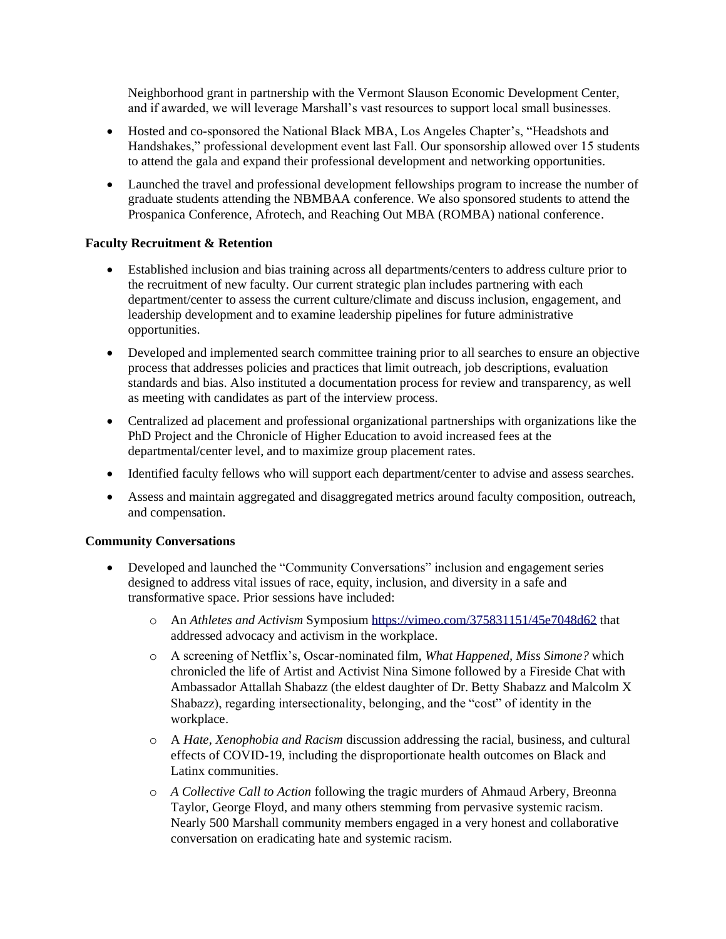Neighborhood grant in partnership with the Vermont Slauson Economic Development Center, and if awarded, we will leverage Marshall's vast resources to support local small businesses.

- Hosted and co-sponsored the National Black MBA, Los Angeles Chapter's, "Headshots and Handshakes," professional development event last Fall. Our sponsorship allowed over 15 students to attend the gala and expand their professional development and networking opportunities.
- Launched the travel and professional development fellowships program to increase the number of graduate students attending the NBMBAA conference. We also sponsored students to attend the Prospanica Conference, Afrotech, and Reaching Out MBA (ROMBA) national conference.

# **Faculty Recruitment & Retention**

- Established inclusion and bias training across all departments/centers to address culture prior to the recruitment of new faculty. Our current strategic plan includes partnering with each department/center to assess the current culture/climate and discuss inclusion, engagement, and leadership development and to examine leadership pipelines for future administrative opportunities.
- Developed and implemented search committee training prior to all searches to ensure an objective process that addresses policies and practices that limit outreach, job descriptions, evaluation standards and bias. Also instituted a documentation process for review and transparency, as well as meeting with candidates as part of the interview process.
- Centralized ad placement and professional organizational partnerships with organizations like the PhD Project and the Chronicle of Higher Education to avoid increased fees at the departmental/center level, and to maximize group placement rates.
- Identified faculty fellows who will support each department/center to advise and assess searches.
- Assess and maintain aggregated and disaggregated metrics around faculty composition, outreach, and compensation.

# **Community Conversations**

- Developed and launched the "Community Conversations" inclusion and engagement series designed to address vital issues of race, equity, inclusion, and diversity in a safe and transformative space. Prior sessions have included:
	- o An *Athletes and Activism* Symposium https://vimeo.com/375831151/45e7048d62 that addressed advocacy and activism in the workplace.
	- o A screening of Netflix's, Oscar-nominated film, *What Happened, Miss Simone?* which chronicled the life of Artist and Activist Nina Simone followed by a Fireside Chat with Ambassador Attallah Shabazz (the eldest daughter of Dr. Betty Shabazz and Malcolm X Shabazz), regarding intersectionality, belonging, and the "cost" of identity in the workplace.
	- o A *Hate, Xenophobia and Racism* discussion addressing the racial, business, and cultural effects of COVID-19, including the disproportionate health outcomes on Black and Latinx communities.
	- o *A Collective Call to Action* following the tragic murders of Ahmaud Arbery, Breonna Taylor, George Floyd, and many others stemming from pervasive systemic racism. Nearly 500 Marshall community members engaged in a very honest and collaborative conversation on eradicating hate and systemic racism.